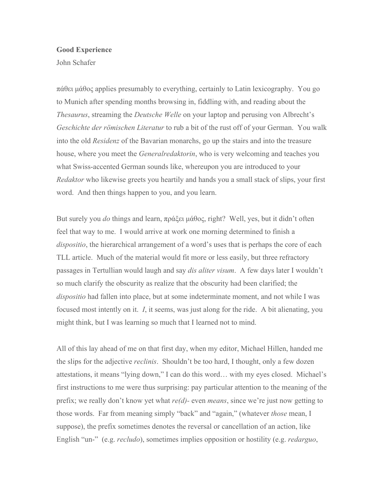## **Good Experience**

John Schafer

πάθει µάθος applies presumably to everything, certainly to Latin lexicography. You go to Munich after spending months browsing in, fiddling with, and reading about the *Thesaurus*, streaming the *Deutsche Welle* on your laptop and perusing von Albrecht's *Geschichte der römischen Literatur* to rub a bit of the rust off of your German. You walk into the old *Residenz* of the Bavarian monarchs, go up the stairs and into the treasure house, where you meet the *Generalredaktorin*, who is very welcoming and teaches you what Swiss-accented German sounds like, whereupon you are introduced to your *Redaktor* who likewise greets you heartily and hands you a small stack of slips, your first word. And then things happen to you, and you learn.

But surely you *do* things and learn, πράξει µάθος, right? Well, yes, but it didn't often feel that way to me. I would arrive at work one morning determined to finish a *dispositio*, the hierarchical arrangement of a word's uses that is perhaps the core of each TLL article. Much of the material would fit more or less easily, but three refractory passages in Tertullian would laugh and say *dis aliter visum*. A few days later I wouldn't so much clarify the obscurity as realize that the obscurity had been clarified; the *dispositio* had fallen into place, but at some indeterminate moment, and not while I was focused most intently on it. *I*, it seems, was just along for the ride. A bit alienating, you might think, but I was learning so much that I learned not to mind.

All of this lay ahead of me on that first day, when my editor, Michael Hillen, handed me the slips for the adjective *reclinis*. Shouldn't be too hard, I thought, only a few dozen attestations, it means "lying down," I can do this word… with my eyes closed. Michael's first instructions to me were thus surprising: pay particular attention to the meaning of the prefix; we really don't know yet what *re(d)-* even *means*, since we're just now getting to those words. Far from meaning simply "back" and "again," (whatever *those* mean, I suppose), the prefix sometimes denotes the reversal or cancellation of an action, like English "un-" (e.g. *recludo*), sometimes implies opposition or hostility (e.g. *redarguo*,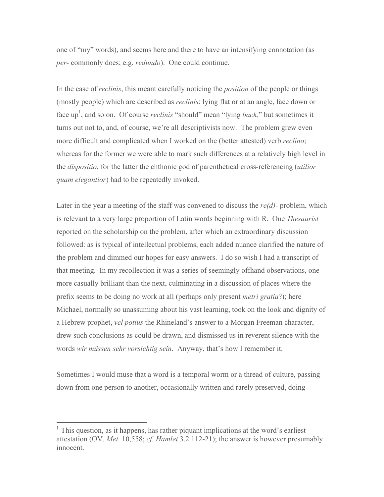one of "my" words), and seems here and there to have an intensifying connotation (as *per-* commonly does; e.g. *redundo*). One could continue.

In the case of *reclinis*, this meant carefully noticing the *position* of the people or things (mostly people) which are described as *reclinis*: lying flat or at an angle, face down or face up<sup>1</sup>, and so on. Of course *reclinis* "should" mean "lying *back*," but sometimes it turns out not to, and, of course, we're all descriptivists now. The problem grew even more difficult and complicated when I worked on the (better attested) verb *reclino*; whereas for the former we were able to mark such differences at a relatively high level in the *dispositio*, for the latter the chthonic god of parenthetical cross-referencing (*utilior quam elegantior*) had to be repeatedly invoked.

Later in the year a meeting of the staff was convened to discuss the *re(d)-* problem, which is relevant to a very large proportion of Latin words beginning with R. One *Thesaurist* reported on the scholarship on the problem, after which an extraordinary discussion followed: as is typical of intellectual problems, each added nuance clarified the nature of the problem and dimmed our hopes for easy answers. I do so wish I had a transcript of that meeting. In my recollection it was a series of seemingly offhand observations, one more casually brilliant than the next, culminating in a discussion of places where the prefix seems to be doing no work at all (perhaps only present *metri gratia*?); here Michael, normally so unassuming about his vast learning, took on the look and dignity of a Hebrew prophet, *vel potius* the Rhineland's answer to a Morgan Freeman character, drew such conclusions as could be drawn, and dismissed us in reverent silence with the words *wir müssen sehr vorsichtig sein*. Anyway, that's how I remember it.

Sometimes I would muse that a word is a temporal worm or a thread of culture, passing down from one person to another, occasionally written and rarely preserved, doing

<sup>&</sup>lt;sup>1</sup> This question, as it happens, has rather piquant implications at the word's earliest attestation (OV. *Met*. 10,558; *cf. Hamlet* 3.2 112-21); the answer is however presumably innocent.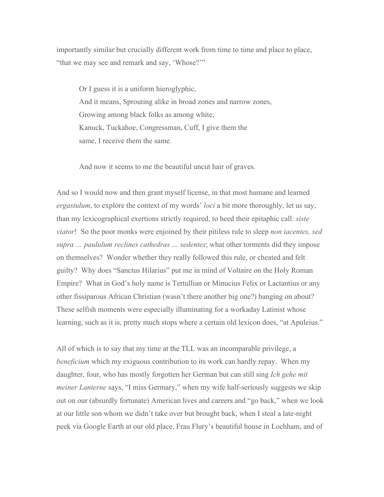importantly similar but crucially different work from time to time and place to place, "that we may see and remark and say, 'Whose?'"

Or I guess it is a uniform hieroglyphic, And it means, Sprouting alike in broad zones and narrow zones, Growing among black folks as among white, Kanuck, Tuckahoe, Congressman, Cuff, I give them the same, I receive them the same.

And now it seems to me the beautiful uncut hair of graves.

And so I would now and then grant myself license, in that most humane and learned *ergastulum*, to explore the context of my words' *loci* a bit more thoroughly, let us say, than my lexicographical exertions strictly required, to heed their epitaphic call: *siste viator*! So the poor monks were enjoined by their pitiless rule to sleep *non iacentes, sed supra … paululum reclines cathedras … sedentes*; what other torments did they impose on themselves? Wonder whether they really followed this rule, or cheated and felt guilty? Why does "Sanctus Hilarius" put me in mind of Voltaire on the Holy Roman Empire? What in God's holy name is Tertullian or Minucius Felix or Lactantius or any other fissiparous African Christian (wasn't there another big one?) banging on about? These selfish moments were especially illuminating for a workaday Latinist whose learning, such as it is, pretty much stops where a certain old lexicon does, "at Apuleius."

All of which is to say that my time at the TLL was an incomparable privilege, a *beneficium* which my exiguous contribution to its work can hardly repay. When my daughter, four, who has mostly forgotten her German but can still sing *Ich gehe mit meiner Lanterne* says, "I miss Germary," when my wife half-seriously suggests we skip out on our (absurdly fortunate) American lives and careers and "go back," when we look at our little son whom we didn't take over but brought back, when I steal a late-night peek via Google Earth at our old place, Frau Flury's beautiful house in Lochham, and of